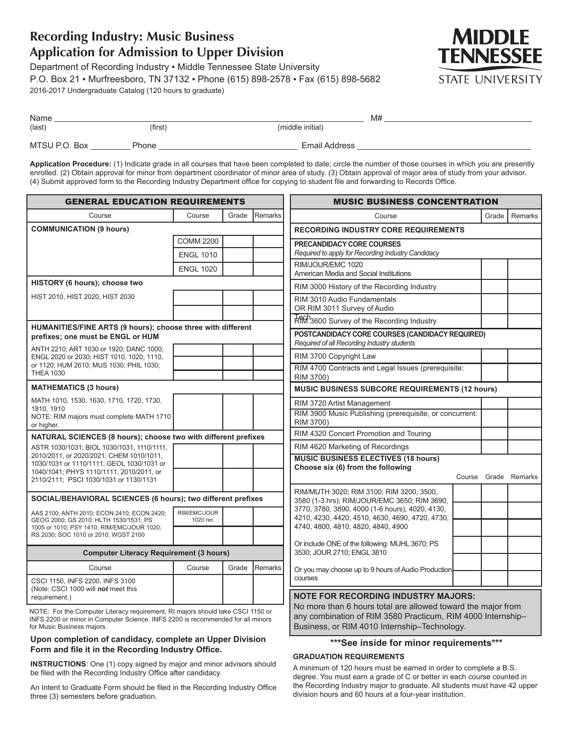# **Recording Industry: Music Business Application for Admission to Upper Division**

Department of Recording Industry · Middle Tennessee State University P.O. Box 21 ▪ Murfreesboro, TN 37132 ▪ Phone (615) 898-2578 ▪ Fax (615) 898-5682 2016-2017 Undergraduate Catalog (120 hours to graduate)



| Name          |         |                  | M# |
|---------------|---------|------------------|----|
| (last)        | (first) | (middle initial) |    |
| MTSU P.O. Box | Phone   | Email Address    |    |

**Application Procedure:** (1) Indicate grade in all courses that have been completed to date; circle the number of those courses in which you are presently enrolled. (2) Obtain approval for minor from department coordinator of minor area of study. (3) Obtain approval of major area of study from your advisor. (4) Submit approved form to the Recording Industry Department office for copying to student file and forwarding to Records Office.

| <b>GENERAL EDUCATION REQUIREMENTS</b>                                                                                                                                                            |                           |                                                                              | <b>MUSIC BUSINESS CONCENTRATION</b>                                                                                                                                         |                                                                                                 |       |                      |
|--------------------------------------------------------------------------------------------------------------------------------------------------------------------------------------------------|---------------------------|------------------------------------------------------------------------------|-----------------------------------------------------------------------------------------------------------------------------------------------------------------------------|-------------------------------------------------------------------------------------------------|-------|----------------------|
| Course                                                                                                                                                                                           | Course                    | Grade                                                                        | Remarks                                                                                                                                                                     | Course                                                                                          | Grade | <b>Remarks</b>       |
| <b>COMMUNICATION (9 hours)</b>                                                                                                                                                                   |                           |                                                                              | <b>RECORDING INDUSTRY CORE REQUIREMENTS</b>                                                                                                                                 |                                                                                                 |       |                      |
|                                                                                                                                                                                                  | <b>COMM 2200</b>          |                                                                              |                                                                                                                                                                             | <b>PRECANDIDACY CORE COURSES</b>                                                                |       |                      |
|                                                                                                                                                                                                  | <b>ENGL 1010</b>          |                                                                              |                                                                                                                                                                             | Required to apply for Recording Industry Candidacy                                              |       |                      |
|                                                                                                                                                                                                  | <b>ENGL 1020</b>          |                                                                              |                                                                                                                                                                             | RIM/JOUR/EMC 1020<br>American Media and Social Institutions                                     |       |                      |
| HISTORY (6 hours); choose two                                                                                                                                                                    |                           |                                                                              |                                                                                                                                                                             | RIM 3000 History of the Recording Industry                                                      |       |                      |
| HIST 2010, HIST 2020, HIST 2030                                                                                                                                                                  |                           |                                                                              |                                                                                                                                                                             | RIM 3010 Audio Fundamentals                                                                     |       |                      |
|                                                                                                                                                                                                  |                           |                                                                              |                                                                                                                                                                             | OR RIM 3011 Survey of Audio                                                                     |       |                      |
| HUMANITIES/FINE ARTS (9 hours); choose three with different                                                                                                                                      |                           |                                                                              |                                                                                                                                                                             | Rim <sup>1</sup> 3600 Survey of the Recording Industry                                          |       |                      |
| prefixes; one must be ENGL or HUM                                                                                                                                                                |                           |                                                                              |                                                                                                                                                                             | POSTCANDIDACY CORE COURSES (CANDIDACY REQUIRED)<br>Required of all Recording Industry students  |       |                      |
| ANTH 2210; ART 1030 or 1920; DANC 1000;<br>ENGL 2020 or 2030; HIST 1010, 1020, 1110,                                                                                                             |                           |                                                                              |                                                                                                                                                                             | RIM 3700 Copyright Law                                                                          |       |                      |
| or 1120; HUM 2610; MUS 1030; PHIL 1030;<br><b>THEA 1030</b>                                                                                                                                      |                           |                                                                              |                                                                                                                                                                             | RIM 4700 Contracts and Legal Issues (prerequisite:                                              |       |                      |
|                                                                                                                                                                                                  |                           |                                                                              |                                                                                                                                                                             | RIM 3700)                                                                                       |       |                      |
| <b>MATHEMATICS (3 hours)</b>                                                                                                                                                                     |                           |                                                                              |                                                                                                                                                                             | MUSIC BUSINESS SUBCORE REQUIREMENTS (12 hours)                                                  |       |                      |
| MATH 1010, 1530, 1630, 1710, 1720, 1730,<br>1810, 1910                                                                                                                                           |                           |                                                                              |                                                                                                                                                                             | RIM 3720 Artist Management                                                                      |       |                      |
| NOTE: RIM majors must complete MATH 1710<br>or higher.                                                                                                                                           |                           |                                                                              |                                                                                                                                                                             | RIM 3900 Music Publishing (prerequisite, or concurrent:<br>RIM 3700)                            |       |                      |
| NATURAL SCIENCES (8 hours); choose two with different prefixes                                                                                                                                   |                           | RIM 4320 Concert Promotion and Touring                                       |                                                                                                                                                                             |                                                                                                 |       |                      |
| ASTR 1030/1031; BIOL 1030/1031, 1110/1111,                                                                                                                                                       |                           |                                                                              |                                                                                                                                                                             | RIM 4620 Marketing of Recordings                                                                |       |                      |
| 2010/2011, or 2020/2021; CHEM 1010/1011,<br>1030/1031 or 1110/1111; GEOL 1030/1031 or<br>1040/1041; PHYS 1110/1111, 2010/2011, or<br>2110/2111; PSCI 1030/1031 or 1130/1131                      |                           |                                                                              |                                                                                                                                                                             | <b>MUSIC BUSINESS ELECTIVES (18 hours)</b><br>Choose six (6) from the following                 |       | Course Grade Remarks |
|                                                                                                                                                                                                  |                           |                                                                              |                                                                                                                                                                             | RIM/MUTH 3020; RIM 3100; RIM 3200, 3500,                                                        |       |                      |
| SOCIAL/BEHAVIORAL SCIENCES (6 hours); two different prefixes                                                                                                                                     |                           |                                                                              |                                                                                                                                                                             | 3580 (1-3 hrs); RIM/JOUR/EMC 3650; RIM 3690,<br>3770, 3780, 3890, 4000 (1-6 hours), 4020, 4130, |       |                      |
| AAS 2100; ANTH 2010; ECON 2410; ECON 2420;<br>GEOG 2000; GS 2010; HLTH 1530/1531; PS<br>1005 or 1010; PSY 1410; RIM/EMC/JOUR 1020;                                                               | RIM/EMC/JOUR<br>1020 rec. |                                                                              |                                                                                                                                                                             | 4210, 4230, 4420, 4510, 4630, 4690, 4720, 4730,<br>4740, 4800, 4810, 4820, 4840, 4900           |       |                      |
| RS 2030; SOC 1010 or 2010; WGST 2100                                                                                                                                                             |                           |                                                                              |                                                                                                                                                                             |                                                                                                 |       |                      |
| <b>Computer Literacy Requirement (3 hours)</b>                                                                                                                                                   |                           | Or include ONE of the following: MUHL 3670; PS<br>3530; JOUR 2710; ENGL 3810 |                                                                                                                                                                             |                                                                                                 |       |                      |
| Course                                                                                                                                                                                           | Course                    | Grade                                                                        | Remarks                                                                                                                                                                     | Or you may choose up to 9 hours of Audio Production                                             |       |                      |
| CSCI 1150, INFS 2200, INFS 3100                                                                                                                                                                  |                           |                                                                              |                                                                                                                                                                             | courses                                                                                         |       |                      |
| (Note: CSCI 1000 will not meet this<br>requirement.)                                                                                                                                             |                           |                                                                              |                                                                                                                                                                             | <b>NOTE FOR RECORDING INDUSTRY MAJORS:</b>                                                      |       |                      |
| NOTE: For the Computer Literacy requirement, RI majors should take CSCI 1150 or<br>INFS 2200 or minor in Computer Science. INFS 2200 is recommended for all minors<br>for Music Business majors. |                           |                                                                              | No more than 6 hours total are allowed toward the major from<br>any combination of RIM 3580 Practicum, RIM 4000 Internship-<br>Business, or RIM 4010 Internship-Technology. |                                                                                                 |       |                      |

### **Upon completion of candidacy, complete an Upper Division Form and file it in the Recording Industry Office.**

**INSTRUCTIONS**: One (1) copy signed by major and minor advisors should be filed with the Recording Industry Office after candidacy.

An Intent to Graduate Form should be filed in the Recording Industry Office three (3) semesters before graduation.

## **\*\*\*See inside for minor requirements\*\*\***

#### **GRADUATION REQUIREMENTS**

A minimum of 120 hours must be earned in order to complete a B.S. degree. You must earn a grade of C or better in each course counted in the Recording Industry major to graduate. All students must have 42 upper division hours and 60 hours at a four-year institution.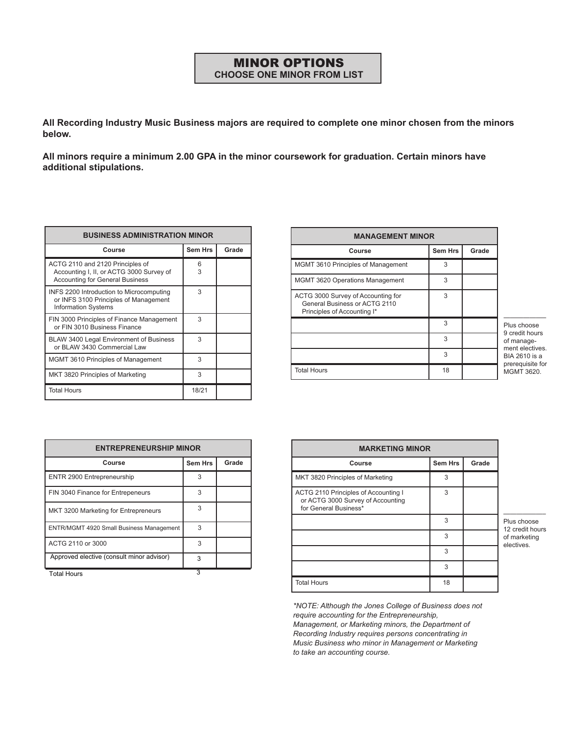## MINOR OPTIONS **CHOOSE ONE MINOR FROM LIST**

**All Recording Industry Music Business majors are required to complete one minor chosen from the minors below.** 

**All minors require a minimum 2.00 GPA in the minor coursework for graduation. Certain minors have additional stipulations.**

| <b>BUSINESS ADMINISTRATION MINOR</b>                                                                                   |                |       |  |  |
|------------------------------------------------------------------------------------------------------------------------|----------------|-------|--|--|
| Course                                                                                                                 | <b>Sem Hrs</b> | Grade |  |  |
| ACTG 2110 and 2120 Principles of<br>Accounting I, II, or ACTG 3000 Survey of<br><b>Accounting for General Business</b> | 6<br>3         |       |  |  |
| INFS 2200 Introduction to Microcomputing<br>or INFS 3100 Principles of Management<br><b>Information Systems</b>        | 3              |       |  |  |
| FIN 3000 Principles of Finance Management<br>or FIN 3010 Business Finance                                              | 3              |       |  |  |
| BLAW 3400 Legal Environment of Business<br>or BLAW 3430 Commercial Law                                                 | 3              |       |  |  |
| <b>MGMT 3610 Principles of Management</b>                                                                              | 3              |       |  |  |
| MKT 3820 Principles of Marketing                                                                                       | 3              |       |  |  |
| <b>Total Hours</b>                                                                                                     | 18/21          |       |  |  |

| <b>MANAGEMENT MINOR</b>                                                                            |                |       |  |  |
|----------------------------------------------------------------------------------------------------|----------------|-------|--|--|
| Course                                                                                             | <b>Sem Hrs</b> | Grade |  |  |
| MGMT 3610 Principles of Management                                                                 | 3              |       |  |  |
| MGMT 3620 Operations Management                                                                    | 3              |       |  |  |
| ACTG 3000 Survey of Accounting for<br>General Business or ACTG 2110<br>Principles of Accounting I* | 3              |       |  |  |
|                                                                                                    | 3              |       |  |  |
|                                                                                                    | 3              |       |  |  |
|                                                                                                    | 3              |       |  |  |
| <b>Total Hours</b>                                                                                 | 18             |       |  |  |

Plus choose 9 credit hours of management electives. BIA 2610 is a prerequisite for MGMT 3620.

——————–

| <b>ENTREPRENEURSHIP MINOR</b>             |                |       |  |  |
|-------------------------------------------|----------------|-------|--|--|
| Course                                    | <b>Sem Hrs</b> | Grade |  |  |
| ENTR 2900 Entrepreneurship                | 3              |       |  |  |
| FIN 3040 Finance for Entrepeneurs         | 3              |       |  |  |
| MKT 3200 Marketing for Entrepreneurs      | 3              |       |  |  |
| ENTR/MGMT 4920 Small Business Management  | 3              |       |  |  |
| ACTG 2110 or 3000                         | 3              |       |  |  |
| Approved elective (consult minor advisor) | 3              |       |  |  |
| <b>Total Hours</b>                        | 3              |       |  |  |

——————– **MARKETING MINOR Course Sem Hrs Grade** MKT 3820 Principles of Marketing 3 ACTG 2110 Principles of Accounting I or ACTG 3000 Survey of Accounting for General Business\* 3 3 3 3 3 Total Hours 18

Plus choose 12 credit hours of marketing electives.

*\*NOTE: Although the Jones College of Business does not require accounting for the Entrepreneurship, Management, or Marketing minors, the Department of Recording Industry requires persons concentrating in Music Business who minor in Management or Marketing to take an accounting course.*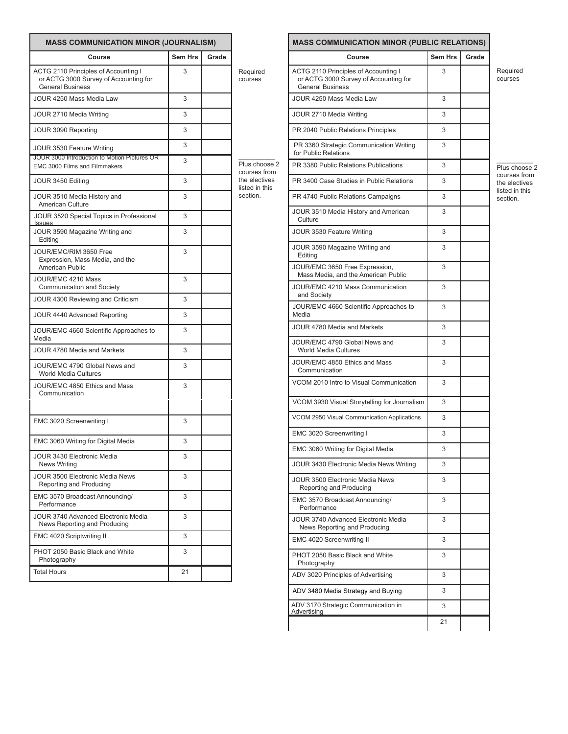|                                                                                                          | <b>MASS COMMUNICATION MINOR (JOURNALISM)</b> |       |                                 |  |  |
|----------------------------------------------------------------------------------------------------------|----------------------------------------------|-------|---------------------------------|--|--|
| Course                                                                                                   | <b>Sem Hrs</b>                               | Grade |                                 |  |  |
| ACTG 2110 Principles of Accounting I<br>or ACTG 3000 Survey of Accounting for<br><b>General Business</b> | 3                                            |       | Required<br>courses             |  |  |
| JOUR 4250 Mass Media Law                                                                                 | 3                                            |       |                                 |  |  |
| JOUR 2710 Media Writing                                                                                  | 3                                            |       |                                 |  |  |
| JOUR 3090 Reporting                                                                                      | 3                                            |       |                                 |  |  |
| JOUR 3530 Feature Writing                                                                                | 3                                            |       |                                 |  |  |
| JOUR 3000 Introduction to Motion Pictures OR<br>EMC 3000 Films and Filmmakers                            | 3                                            |       | Plus choose 2<br>courses from   |  |  |
| JOUR 3450 Editing                                                                                        | 3                                            |       | the electives<br>listed in this |  |  |
| JOUR 3510 Media History and<br><b>American Culture</b>                                                   | 3                                            |       | section.                        |  |  |
| JOUR 3520 Special Topics in Professional<br><b>Issues</b>                                                | 3                                            |       |                                 |  |  |
| JOUR 3590 Magazine Writing and<br>Editing                                                                | 3                                            |       |                                 |  |  |
| JOUR/EMC/RIM 3650 Free<br>Expression, Mass Media, and the<br>American Public                             | 3                                            |       |                                 |  |  |
| JOUR/EMC 4210 Mass<br>Communication and Society                                                          | 3                                            |       |                                 |  |  |
| JOUR 4300 Reviewing and Criticism                                                                        | 3                                            |       |                                 |  |  |
| JOUR 4440 Advanced Reporting                                                                             | 3                                            |       |                                 |  |  |
| JOUR/EMC 4660 Scientific Approaches to<br>Media                                                          | 3                                            |       |                                 |  |  |
| JOUR 4780 Media and Markets                                                                              | 3                                            |       |                                 |  |  |
| JOUR/EMC 4790 Global News and<br><b>World Media Cultures</b>                                             | 3                                            |       |                                 |  |  |
| JOUR/EMC 4850 Ethics and Mass<br>Communication                                                           | 3                                            |       |                                 |  |  |
| EMC 3020 Screenwriting I                                                                                 | 3                                            |       |                                 |  |  |
| EMC 3060 Writing for Digital Media                                                                       | 3                                            |       |                                 |  |  |
| JOUR 3430 Electronic Media<br><b>News Writing</b>                                                        | 3                                            |       |                                 |  |  |
| JOUR 3500 Electronic Media News<br>Reporting and Producing                                               | 3                                            |       |                                 |  |  |
| EMC 3570 Broadcast Announcing/<br>Performance                                                            | 3                                            |       |                                 |  |  |
| JOUR 3740 Advanced Electronic Media<br>News Reporting and Producing                                      | 3                                            |       |                                 |  |  |
| EMC 4020 Scriptwriting II                                                                                | 3                                            |       |                                 |  |  |
| PHOT 2050 Basic Black and White<br>Photography                                                           | 3                                            |       |                                 |  |  |
| <b>Total Hours</b>                                                                                       | 21                                           |       |                                 |  |  |

|                                                                                                          | <b>MASS COMMUNICATION MINOR (PUBLIC RELATIONS)</b> |       |                               |  |
|----------------------------------------------------------------------------------------------------------|----------------------------------------------------|-------|-------------------------------|--|
| Course                                                                                                   | <b>Sem Hrs</b>                                     | Grade |                               |  |
| ACTG 2110 Principles of Accounting I<br>or ACTG 3000 Survey of Accounting for<br><b>General Business</b> | 3                                                  |       | Required<br>courses           |  |
| JOUR 4250 Mass Media Law                                                                                 | 3                                                  |       |                               |  |
| JOUR 2710 Media Writing                                                                                  | 3                                                  |       |                               |  |
| PR 2040 Public Relations Principles                                                                      | 3                                                  |       |                               |  |
| PR 3360 Strategic Communication Writing<br>for Public Relations                                          | 3                                                  |       |                               |  |
| PR 3380 Public Relations Publications                                                                    | 3                                                  |       | Plus choose                   |  |
| PR 3400 Case Studies in Public Relations                                                                 | 3                                                  |       | courses from<br>the electives |  |
| PR 4740 Public Relations Campaigns                                                                       | 3                                                  |       | listed in this<br>section.    |  |
| JOUR 3510 Media History and American<br>Culture                                                          | 3                                                  |       |                               |  |
| JOUR 3530 Feature Writing                                                                                | 3                                                  |       |                               |  |
| JOUR 3590 Magazine Writing and<br>Editina                                                                | 3                                                  |       |                               |  |
| JOUR/EMC 3650 Free Expression,<br>Mass Media, and the American Public                                    | 3                                                  |       |                               |  |
| JOUR/EMC 4210 Mass Communication<br>and Society                                                          | 3                                                  |       |                               |  |
| JOUR/EMC 4660 Scientific Approaches to<br>Media                                                          | 3                                                  |       |                               |  |
| JOUR 4780 Media and Markets                                                                              | 3                                                  |       |                               |  |
| JOUR/EMC 4790 Global News and<br><b>World Media Cultures</b>                                             | 3                                                  |       |                               |  |
| JOUR/EMC 4850 Ethics and Mass<br>Communication                                                           | 3                                                  |       |                               |  |
| VCOM 2010 Intro to Visual Communication                                                                  | 3                                                  |       |                               |  |
| VCOM 3930 Visual Storytelling for Journalism                                                             | 3                                                  |       |                               |  |
| VCOM 2950 Visual Communication Applications                                                              | 3                                                  |       |                               |  |
| EMC 3020 Screenwriting I                                                                                 | 3                                                  |       |                               |  |
| EMC 3060 Writing for Digital Media                                                                       | 3                                                  |       |                               |  |
| JOUR 3430 Electronic Media News Writing                                                                  | 3                                                  |       |                               |  |
| JOUR 3500 Electronic Media News<br>Reporting and Producing                                               | 3                                                  |       |                               |  |
| EMC 3570 Broadcast Announcing/<br>Performance                                                            | 3                                                  |       |                               |  |
| JOUR 3740 Advanced Electronic Media<br>News Reporting and Producing                                      | 3                                                  |       |                               |  |
| EMC 4020 Screenwriting II                                                                                | 3                                                  |       |                               |  |
| PHOT 2050 Basic Black and White<br>Photography                                                           | 3                                                  |       |                               |  |
| ADV 3020 Principles of Advertising                                                                       | 3                                                  |       |                               |  |
| ADV 3480 Media Strategy and Buying                                                                       | 3                                                  |       |                               |  |
| ADV 3170 Strategic Communication in<br>Advertising                                                       | 3                                                  |       |                               |  |
|                                                                                                          | 21                                                 |       |                               |  |

> Plus choose 2 courses from the electives listed in this section.